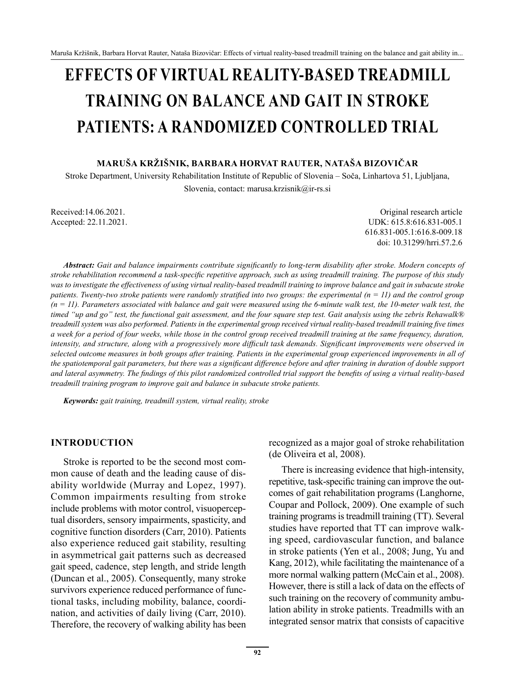# **EFFECTS OF VIRTUAL REALITY-BASED TREADMILL TRAINING ON BALANCE AND GAIT IN STROKE PATIENTS: A RANDOMIZED CONTROLLED TRIAL**

#### **MARUŠA KRŽIŠNIK, BARBARA HORVAT RAUTER, NATAŠA BIZOVIČAR**

Stroke Department, University Rehabilitation Institute of Republic of Slovenia – Soča, Linhartova 51, Ljubljana, Slovenia, contact: marusa.krzisnik@ir-rs.si

Received:14.06.2021. Contact the Contact of the Contact of the Contact of the Contact of the Contact of the Contact of the Contact of the Contact of the Contact of the Contact of the Contact of the Contact of the Contact o Accepted: 22.11.2021. UDK: 615.8:616.831-005.1 616.831-005.1:616.8-009.18 doi: 10.31299/hrri.57.2.6

*Abstract: Gait and balance impairments contribute significantly to long-term disability after stroke. Modern concepts of stroke rehabilitation recommend a task-specific repetitive approach, such as using treadmill training. The purpose of this study was to investigate the effectiveness of using virtual reality-based treadmill training to improve balance and gait in subacute stroke patients. Twenty-two stroke patients were randomly stratified into two groups: the experimental (n = 11) and the control group (n = 11). Parameters associated with balance and gait were measured using the 6-minute walk test, the 10-meter walk test, the timed "up and go" test, the functional gait assessment, and the four square step test. Gait analysis using the zebris Rehawalk® treadmill system was also performed. Patients in the experimental group received virtual reality-based treadmill training five times a week for a period of four weeks, while those in the control group received treadmill training at the same frequency, duration, intensity, and structure, along with a progressively more difficult task demands. Significant improvements were observed in selected outcome measures in both groups after training. Patients in the experimental group experienced improvements in all of the spatiotemporal gait parameters, but there was a significant difference before and after training in duration of double support and lateral asymmetry. The findings of this pilot randomized controlled trial support the benefits of using a virtual reality-based treadmill training program to improve gait and balance in subacute stroke patients.*

*Keywords: gait training, treadmill system, virtual reality, stroke*

#### **INTRODUCTION**

Stroke is reported to be the second most common cause of death and the leading cause of disability worldwide (Murray and Lopez, 1997). Common impairments resulting from stroke include problems with motor control, visuoperceptual disorders, sensory impairments, spasticity, and cognitive function disorders (Carr, 2010). Patients also experience reduced gait stability, resulting in asymmetrical gait patterns such as decreased gait speed, cadence, step length, and stride length (Duncan et al., 2005). Consequently, many stroke survivors experience reduced performance of functional tasks, including mobility, balance, coordination, and activities of daily living (Carr, 2010). Therefore, the recovery of walking ability has been (de Oliveira et al, 2008). There is increasing evidence that high-intensity,

recognized as a major goal of stroke rehabilitation

repetitive, task-specific training can improve the outcomes of gait rehabilitation programs (Langhorne, Coupar and Pollock, 2009). One example of such training programs is treadmill training (TT). Several studies have reported that TT can improve walking speed, cardiovascular function, and balance in stroke patients (Yen et al., 2008; Jung, Yu and Kang, 2012), while facilitating the maintenance of a more normal walking pattern (McCain et al., 2008). However, there is still a lack of data on the effects of such training on the recovery of community ambulation ability in stroke patients. Treadmills with an integrated sensor matrix that consists of capacitive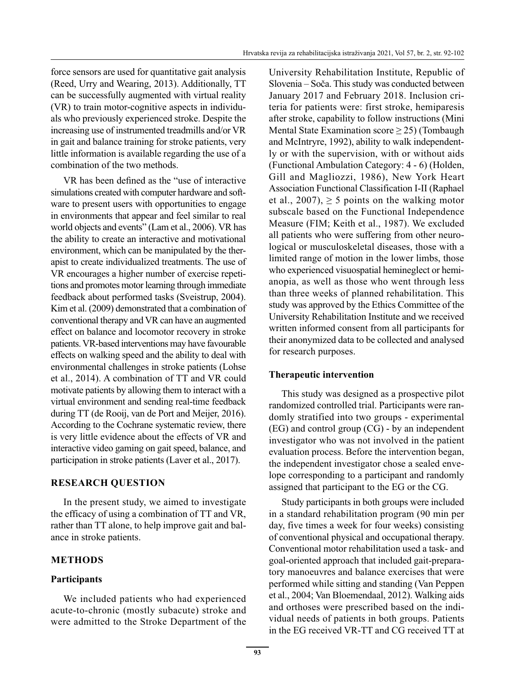force sensors are used for quantitative gait analysis (Reed, Urry and Wearing, 2013). Additionally, TT can be successfully augmented with virtual reality (VR) to train motor-cognitive aspects in individuals who previously experienced stroke. Despite the increasing use of instrumented treadmills and/or VR in gait and balance training for stroke patients, very little information is available regarding the use of a combination of the two methods.

VR has been defined as the "use of interactive simulations created with computer hardware and software to present users with opportunities to engage in environments that appear and feel similar to real world objects and events" (Lam et al., 2006). VR has the ability to create an interactive and motivational environment, which can be manipulated by the therapist to create individualized treatments. The use of VR encourages a higher number of exercise repetitions and promotes motor learning through immediate feedback about performed tasks (Sveistrup, 2004). Kim et al. (2009) demonstrated that a combination of conventional therapy and VR can have an augmented effect on balance and locomotor recovery in stroke patients. VR-based interventions may have favourable effects on walking speed and the ability to deal with environmental challenges in stroke patients (Lohse et al., 2014). A combination of TT and VR could motivate patients by allowing them to interact with a virtual environment and sending real-time feedback during TT (de Rooij, van de Port and Meijer, 2016). According to the Cochrane systematic review, there is very little evidence about the effects of VR and interactive video gaming on gait speed, balance, and participation in stroke patients (Laver et al., 2017).

## **RESEARCH QUESTION**

In the present study, we aimed to investigate the efficacy of using a combination of TT and VR, rather than TT alone, to help improve gait and balance in stroke patients.

## **METHODS**

## **Participants**

We included patients who had experienced acute-to-chronic (mostly subacute) stroke and were admitted to the Stroke Department of the University Rehabilitation Institute, Republic of Slovenia – Soča. This study was conducted between January 2017 and February 2018. Inclusion criteria for patients were: first stroke, hemiparesis after stroke, capability to follow instructions (Mini Mental State Examination score ≥ 25) (Tombaugh and McIntryre, 1992), ability to walk independently or with the supervision, with or without aids (Functional Ambulation Category: 4 - 6) (Holden, Gill and Magliozzi, 1986), New York Heart Association Functional Classification I-II (Raphael et al.,  $2007$ ),  $> 5$  points on the walking motor subscale based on the Functional Independence Measure (FIM; Keith et al., 1987). We excluded all patients who were suffering from other neurological or musculoskeletal diseases, those with a limited range of motion in the lower limbs, those who experienced visuospatial hemineglect or hemianopia, as well as those who went through less than three weeks of planned rehabilitation. This study was approved by the Ethics Committee of the University Rehabilitation Institute and we received written informed consent from all participants for their anonymized data to be collected and analysed for research purposes.

## **Therapeutic intervention**

This study was designed as a prospective pilot randomized controlled trial. Participants were randomly stratified into two groups - experimental (EG) and control group (CG) - by an independent investigator who was not involved in the patient evaluation process. Before the intervention began, the independent investigator chose a sealed envelope corresponding to a participant and randomly assigned that participant to the EG or the CG.

Study participants in both groups were included in a standard rehabilitation program (90 min per day, five times a week for four weeks) consisting of conventional physical and occupational therapy. Conventional motor rehabilitation used a task- and goal-oriented approach that included gait-preparatory manoeuvres and balance exercises that were performed while sitting and standing (Van Peppen et al., 2004; Van Bloemendaal, 2012). Walking aids and orthoses were prescribed based on the individual needs of patients in both groups. Patients in the EG received VR-TT and CG received TT at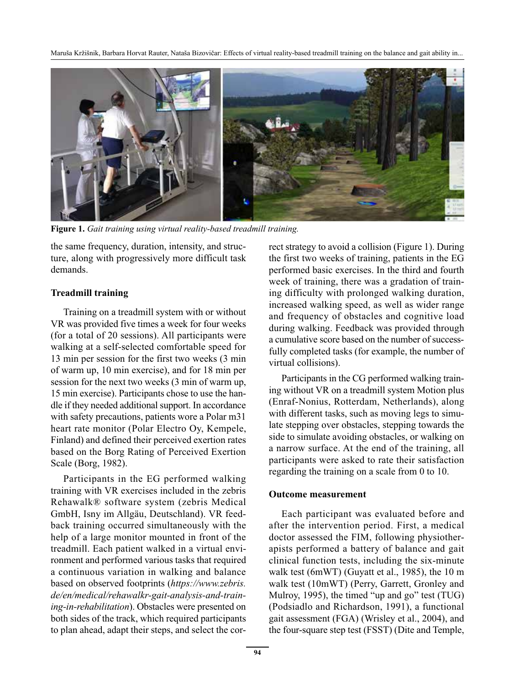

**Figure 1.** *Gait training using virtual reality-based treadmill training.*

the same frequency, duration, intensity, and structure, along with progressively more difficult task demands.

## **Treadmill training**

Training on a treadmill system with or without VR was provided five times a week for four weeks (for a total of 20 sessions). All participants were walking at a self-selected comfortable speed for 13 min per session for the first two weeks (3 min of warm up, 10 min exercise), and for 18 min per session for the next two weeks (3 min of warm up, 15 min exercise). Participants chose to use the handle if they needed additional support. In accordance with safety precautions, patients wore a Polar m31 heart rate monitor (Polar Electro Oy, Kempele, Finland) and defined their perceived exertion rates based on the Borg Rating of Perceived Exertion Scale (Borg, 1982).

Participants in the EG performed walking training with VR exercises included in the zebris Rehawalk® software system (zebris Medical GmbH, Isny im Allgäu, Deutschland). VR feedback training occurred simultaneously with the help of a large monitor mounted in front of the treadmill. Each patient walked in a virtual environment and performed various tasks that required a continuous variation in walking and balance based on observed footprints (*https://www.zebris. de/en/medical/rehawalkr-gait-analysis-and-training-in-rehabilitation*). Obstacles were presented on both sides of the track, which required participants to plan ahead, adapt their steps, and select the correct strategy to avoid a collision (Figure 1). During the first two weeks of training, patients in the EG performed basic exercises. In the third and fourth week of training, there was a gradation of training difficulty with prolonged walking duration, increased walking speed, as well as wider range and frequency of obstacles and cognitive load during walking. Feedback was provided through a cumulative score based on the number of successfully completed tasks (for example, the number of virtual collisions).

Participants in the CG performed walking training without VR on a treadmill system Motion plus (Enraf-Nonius, Rotterdam, Netherlands), along with different tasks, such as moving legs to simulate stepping over obstacles, stepping towards the side to simulate avoiding obstacles, or walking on a narrow surface. At the end of the training, all participants were asked to rate their satisfaction regarding the training on a scale from 0 to 10.

## **Outcome measurement**

Each participant was evaluated before and after the intervention period. First, a medical doctor assessed the FIM, following physiotherapists performed a battery of balance and gait clinical function tests, including the six-minute walk test (6mWT) (Guyatt et al., 1985), the 10 m walk test (10mWT) (Perry, Garrett, Gronley and Mulroy, 1995), the timed "up and go" test (TUG) (Podsiadlo and Richardson, 1991), a functional gait assessment (FGA) (Wrisley et al., 2004), and the four-square step test (FSST) (Dite and Temple,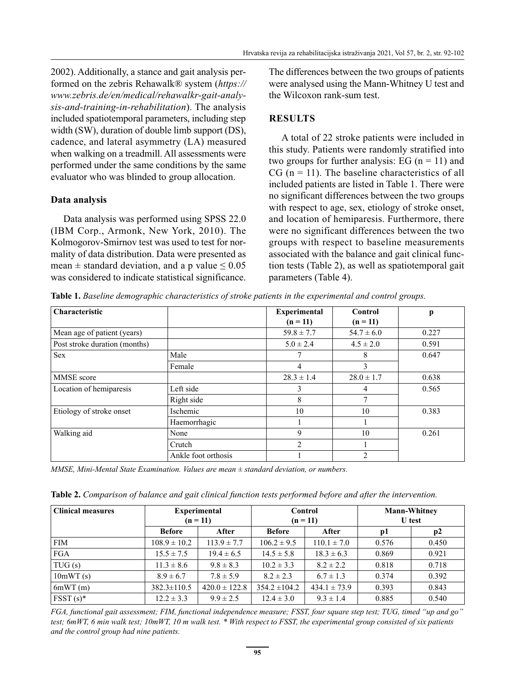2002). Additionally, a stance and gait analysis performed on the zebris Rehawalk® system (*https:// www.zebris.de/en/medical/rehawalkr-gait-analysis-and-training-in-rehabilitation*). The analysis included spatiotemporal parameters, including step width (SW), duration of double limb support (DS), cadence, and lateral asymmetry (LA) measured when walking on a treadmill. All assessments were performed under the same conditions by the same evaluator who was blinded to group allocation.

#### **Data analysis**

Data analysis was performed using SPSS 22.0 (IBM Corp., Armonk, New York, 2010). The Kolmogorov-Smirnov test was used to test for normality of data distribution. Data were presented as mean  $\pm$  standard deviation, and a p value  $\leq 0.05$ was considered to indicate statistical significance. The differences between the two groups of patients were analysed using the Mann-Whitney U test and the Wilcoxon rank-sum test.

## **RESULTS**

A total of 22 stroke patients were included in this study. Patients were randomly stratified into two groups for further analysis: EG  $(n = 11)$  and  $CG (n = 11)$ . The baseline characteristics of all included patients are listed in Table 1. There were no significant differences between the two groups with respect to age, sex, etiology of stroke onset, and location of hemiparesis. Furthermore, there were no significant differences between the two groups with respect to baseline measurements associated with the balance and gait clinical function tests (Table 2), as well as spatiotemporal gait parameters (Table 4).

**Table 1.** *Baseline demographic characteristics of stroke patients in the experimental and control groups.*

| <b>Characteristic</b>         |                     | <b>Experimental</b> | Control        | р     |
|-------------------------------|---------------------|---------------------|----------------|-------|
|                               |                     | $(n = 11)$          | $(n = 11)$     |       |
| Mean age of patient (years)   |                     | $59.8 \pm 7.7$      | $54.7 \pm 6.0$ | 0.227 |
| Post stroke duration (months) |                     | $5.0 \pm 2.4$       | $4.5 \pm 2.0$  | 0.591 |
| Sex                           | Male                |                     | 8              | 0.647 |
|                               | Female              | 4                   | 3              |       |
| MMSE score                    |                     | $28.3 \pm 1.4$      | $28.0 \pm 1.7$ | 0.638 |
| Location of hemiparesis       | Left side           | 3                   | 4              | 0.565 |
|                               | Right side          | 8                   | 7              |       |
| Etiology of stroke onset      | Ischemic            | 10                  | 10             | 0.383 |
|                               | Haemorrhagic        |                     |                |       |
| Walking aid                   | None                | 9                   | 10             | 0.261 |
|                               | Crutch              | $\mathfrak{D}$      |                |       |
|                               | Ankle foot orthosis |                     | $\mathfrak{D}$ |       |

*MMSE, Mini-Mental State Examination. Values are mean ± standard deviation, or numbers.*

**Table 2.** *Comparison of balance and gait clinical function tests performed before and after the intervention.*

| <b>Clinical measures</b> | <b>Experimental</b><br>$(n = 11)$ |                   | Control<br>$(n = 11)$ |                  | <b>Mann-Whitney</b><br><b>U</b> test |       |
|--------------------------|-----------------------------------|-------------------|-----------------------|------------------|--------------------------------------|-------|
|                          | Before                            | After             | <b>Before</b>         | After            | pl                                   | p2    |
| <b>FIM</b>               | $108.9 \pm 10.2$                  | $113.9 \pm 7.7$   | $106.2 \pm 9.5$       | $110.1 \pm 7.0$  | 0.576                                | 0.450 |
| <b>FGA</b>               | $15.5 \pm 7.5$                    | $19.4 \pm 6.5$    | $14.5 \pm 5.8$        | $18.3 \pm 6.3$   | 0.869                                | 0.921 |
| TUG(s)                   | $11.3 \pm 8.6$                    | $9.8 \pm 8.3$     | $10.2 \pm 3.3$        | $8.2 \pm 2.2$    | 0.818                                | 0.718 |
| 10mWT(s)                 | $8.9 \pm 6.7$                     | $7.8 \pm 5.9$     | $8.2 \pm 2.3$         | $6.7 \pm 1.3$    | 0.374                                | 0.392 |
| 6mWT(m)                  | $382.3 \pm 110.5$                 | $420.0 \pm 122.8$ | $354.2 \pm 104.2$     | $434.1 \pm 73.9$ | 0.393                                | 0.843 |
| $F SST(s)^*$             | $12.2 \pm 3.3$                    | $9.9 \pm 2.5$     | $12.4 \pm 3.0$        | $9.3 \pm 1.4$    | 0.885                                | 0.540 |

*FGA, functional gait assessment; FIM, functional independence measure; FSST, four square step test; TUG, timed "up and go" test; 6mWT, 6 min walk test; 10mWT, 10 m walk test. \* With respect to FSST, the experimental group consisted of six patients and the control group had nine patients.*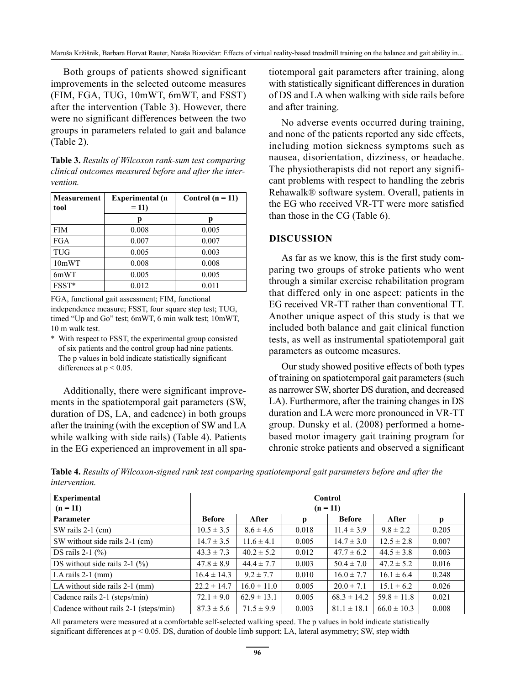Both groups of patients showed significant improvements in the selected outcome measures (FIM, FGA, TUG, 10mWT, 6mWT, and FSST) after the intervention (Table 3). However, there were no significant differences between the two groups in parameters related to gait and balance (Table 2).

**Table 3.** *Results of Wilcoxon rank-sum test comparing clinical outcomes measured before and after the intervention.* 

| <b>Measurement</b><br>tool | <b>Experimental</b> (n<br>$= 11$ | Control $(n = 11)$ |  |
|----------------------------|----------------------------------|--------------------|--|
|                            | р                                | р                  |  |
| <b>FIM</b>                 | 0.008                            | 0.005              |  |
| <b>FGA</b>                 | 0.007                            | 0.007              |  |
| <b>TUG</b>                 | 0.005                            | 0.003              |  |
| 10mWT                      | 0.008                            | 0.008              |  |
| 6mWT                       | 0.005                            | 0.005              |  |
| FSST*                      | 0.012                            | 0.011              |  |

FGA, functional gait assessment; FIM, functional independence measure; FSST, four square step test; TUG, timed "Up and Go" test; 6mWT, 6 min walk test; 10mWT, 10 m walk test.

\* With respect to FSST, the experimental group consisted of six patients and the control group had nine patients. The p values in bold indicate statistically significant differences at  $p < 0.05$ .

Additionally, there were significant improvements in the spatiotemporal gait parameters (SW, duration of DS, LA, and cadence) in both groups after the training (with the exception of SW and LA while walking with side rails) (Table 4). Patients in the EG experienced an improvement in all spatiotemporal gait parameters after training, along with statistically significant differences in duration of DS and LA when walking with side rails before and after training.

No adverse events occurred during training, and none of the patients reported any side effects, including motion sickness symptoms such as nausea, disorientation, dizziness, or headache. The physiotherapists did not report any significant problems with respect to handling the zebris Rehawalk® software system. Overall, patients in the EG who received VR-TT were more satisfied than those in the CG (Table 6).

#### **DISCUSSION**

As far as we know, this is the first study comparing two groups of stroke patients who went through a similar exercise rehabilitation program that differed only in one aspect: patients in the EG received VR-TT rather than conventional TT. Another unique aspect of this study is that we included both balance and gait clinical function tests, as well as instrumental spatiotemporal gait parameters as outcome measures.

Our study showed positive effects of both types of training on spatiotemporal gait parameters (such as narrower SW, shorter DS duration, and decreased LA). Furthermore, after the training changes in DS duration and LA were more pronounced in VR-TT group. Dunsky et al. (2008) performed a homebased motor imagery gait training program for chronic stroke patients and observed a significant

**Table 4.** *Results of Wilcoxon-signed rank test comparing spatiotemporal gait parameters before and after the intervention.*

| Experimental<br>$(n = 11)$            | Control<br>$(n = 11)$ |                 |       |                 |                 |       |
|---------------------------------------|-----------------------|-----------------|-------|-----------------|-----------------|-------|
| Parameter                             | <b>Before</b>         | After           | p     | <b>Before</b>   | After           | р     |
| SW rails $2-1$ (cm)                   | $10.5 \pm 3.5$        | $8.6 \pm 4.6$   | 0.018 | $11.4 \pm 3.9$  | $9.8 \pm 2.2$   | 0.205 |
| SW without side rails 2-1 (cm)        | $14.7 \pm 3.5$        | $11.6 \pm 4.1$  | 0.005 | $14.7 \pm 3.0$  | $12.5 \pm 2.8$  | 0.007 |
| DS rails $2-1$ $(\% )$                | $43.3 \pm 7.3$        | $40.2 \pm 5.2$  | 0.012 | $47.7 \pm 6.2$  | $44.5 \pm 3.8$  | 0.003 |
| DS without side rails $2-1$ (%)       | $47.8 \pm 8.9$        | $44.4 \pm 7.7$  | 0.003 | $50.4 \pm 7.0$  | $47.2 \pm 5.2$  | 0.016 |
| LA rails 2-1 (mm)                     | $16.4 \pm 14.3$       | $9.2 \pm 7.7$   | 0.010 | $16.0 \pm 7.7$  | $16.1 \pm 6.4$  | 0.248 |
| LA without side rails 2-1 (mm)        | $22.2 \pm 14.7$       | $16.0 \pm 11.0$ | 0.005 | $20.0 \pm 7.1$  | $15.1 \pm 6.2$  | 0.026 |
| Cadence rails 2-1 (steps/min)         | $72.1 \pm 9.0$        | $62.9 \pm 13.1$ | 0.005 | $68.3 \pm 14.2$ | $59.8 \pm 11.8$ | 0.021 |
| Cadence without rails 2-1 (steps/min) | $87.3 \pm 5.6$        | $71.5 \pm 9.9$  | 0.003 | $81.1 \pm 18.1$ | $66.0 \pm 10.3$ | 0.008 |

All parameters were measured at a comfortable self-selected walking speed. The p values in bold indicate statistically significant differences at  $p < 0.05$ . DS, duration of double limb support; LA, lateral asymmetry; SW, step width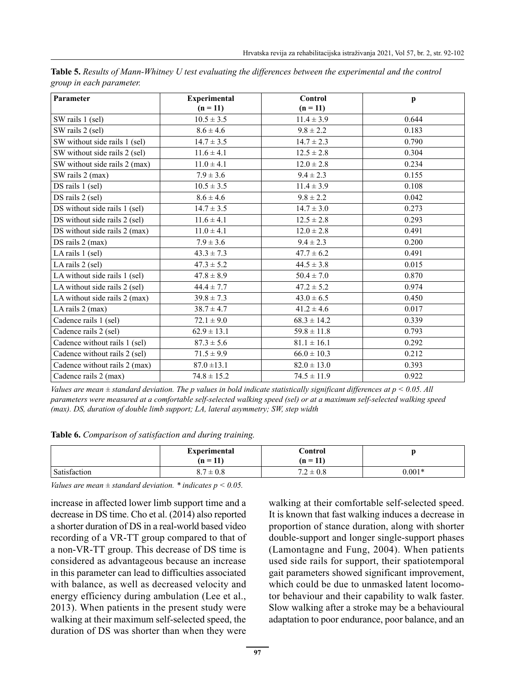| Parameter                     | <b>Experimental</b> | <b>Control</b>  | $\mathbf{p}$ |
|-------------------------------|---------------------|-----------------|--------------|
|                               | $(n = 11)$          | $(n = 11)$      |              |
| SW rails 1 (sel)              | $10.5 \pm 3.5$      | $11.4 \pm 3.9$  | 0.644        |
| SW rails 2 (sel)              | $8.6 \pm 4.6$       | $9.8 \pm 2.2$   | 0.183        |
| SW without side rails 1 (sel) | $14.7 \pm 3.5$      | $14.7 \pm 2.3$  | 0.790        |
| SW without side rails 2 (sel) | $11.6 \pm 4.1$      | $12.5 \pm 2.8$  | 0.304        |
| SW without side rails 2 (max) | $11.0 \pm 4.1$      | $12.0 \pm 2.8$  | 0.234        |
| SW rails 2 (max)              | $7.9 \pm 3.6$       | $9.4 \pm 2.3$   | 0.155        |
| DS rails 1 (sel)              | $10.5 \pm 3.5$      | $11.4 \pm 3.9$  | 0.108        |
| DS rails 2 (sel)              | $8.6 \pm 4.6$       | $9.8 \pm 2.2$   | 0.042        |
| DS without side rails 1 (sel) | $14.7 \pm 3.5$      | $14.7 \pm 3.0$  | 0.273        |
| DS without side rails 2 (sel) | $11.6 \pm 4.1$      | $12.5 \pm 2.8$  | 0.293        |
| DS without side rails 2 (max) | $11.0 \pm 4.1$      | $12.0 \pm 2.8$  | 0.491        |
| DS rails 2 (max)              | $7.9 \pm 3.6$       | $9.4 \pm 2.3$   | 0.200        |
| LA rails 1 (sel)              | $43.3 \pm 7.3$      | $47.7 \pm 6.2$  | 0.491        |
| LA rails 2 (sel)              | $47.3 \pm 5.2$      | $44.5 \pm 3.8$  | 0.015        |
| LA without side rails 1 (sel) | $47.8 \pm 8.9$      | $50.4 \pm 7.0$  | 0.870        |
| LA without side rails 2 (sel) | $44.4 \pm 7.7$      | $47.2 \pm 5.2$  | 0.974        |
| LA without side rails 2 (max) | $39.8 \pm 7.3$      | $43.0 \pm 6.5$  | 0.450        |
| LA rails 2 (max)              | $38.7 \pm 4.7$      | $41.2 \pm 4.6$  | 0.017        |
| Cadence rails 1 (sel)         | $72.1 \pm 9.0$      | $68.3 \pm 14.2$ | 0.339        |
| Cadence rails 2 (sel)         | $62.9 \pm 13.1$     | $59.8 \pm 11.8$ | 0.793        |
| Cadence without rails 1 (sel) | $87.3 \pm 5.6$      | $81.1 \pm 16.1$ | 0.292        |
| Cadence without rails 2 (sel) | $71.5 \pm 9.9$      | $66.0 \pm 10.3$ | 0.212        |
| Cadence without rails 2 (max) | $87.0 \pm 13.1$     | $82.0 \pm 13.0$ | 0.393        |
| Cadence rails 2 (max)         | $74.8 \pm 15.2$     | $74.5 \pm 11.9$ | 0.922        |

**Table 5.** *Results of Mann-Whitney U test evaluating the differences between the experimental and the control group in each parameter.*

*Values are mean ± standard deviation. The p values in bold indicate statistically significant differences at p < 0.05. All parameters were measured at a comfortable self-selected walking speed (sel) or at a maximum self-selected walking speed (max). DS, duration of double limb support; LA, lateral asymmetry; SW, step width*

**Table 6.** *Comparison of satisfaction and during training.* 

|              | <b>Experimental</b><br>$(n = 11)$ | $\mathop{\mathsf{Control}}$<br>$(n = 1^r)$ |          |
|--------------|-----------------------------------|--------------------------------------------|----------|
| Satisfaction | $8.7 \pm 0.8$                     | $7.2 \pm 0.8$                              | $0.001*$ |

*Values are mean ± standard deviation. \* indicates p < 0.05.*

increase in affected lower limb support time and a decrease in DS time. Cho et al. (2014) also reported a shorter duration of DS in a real-world based video recording of a VR-TT group compared to that of a non-VR-TT group. This decrease of DS time is considered as advantageous because an increase in this parameter can lead to difficulties associated with balance, as well as decreased velocity and energy efficiency during ambulation (Lee et al., 2013). When patients in the present study were walking at their maximum self-selected speed, the duration of DS was shorter than when they were walking at their comfortable self-selected speed. It is known that fast walking induces a decrease in proportion of stance duration, along with shorter double-support and longer single-support phases (Lamontagne and Fung, 2004). When patients used side rails for support, their spatiotemporal gait parameters showed significant improvement, which could be due to unmasked latent locomotor behaviour and their capability to walk faster. Slow walking after a stroke may be a behavioural adaptation to poor endurance, poor balance, and an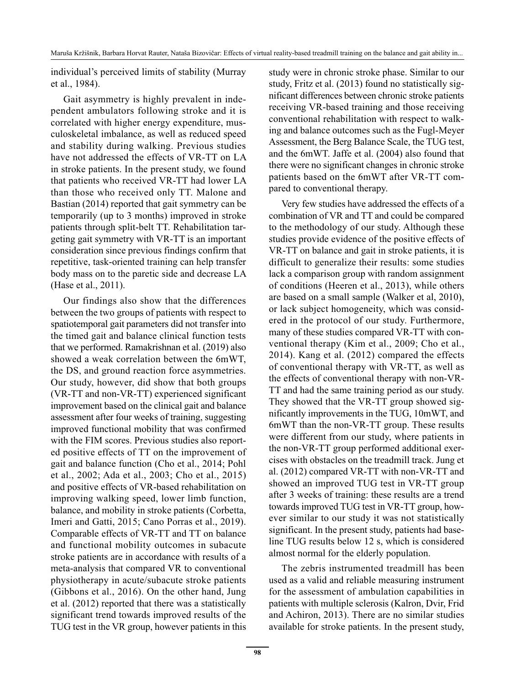individual's perceived limits of stability (Murray et al., 1984).

Gait asymmetry is highly prevalent in independent ambulators following stroke and it is correlated with higher energy expenditure, musculoskeletal imbalance, as well as reduced speed and stability during walking. Previous studies have not addressed the effects of VR-TT on LA in stroke patients. In the present study, we found that patients who received VR-TT had lower LA than those who received only TT. Malone and Bastian (2014) reported that gait symmetry can be temporarily (up to 3 months) improved in stroke patients through split-belt TT. Rehabilitation targeting gait symmetry with VR-TT is an important consideration since previous findings confirm that repetitive, task-oriented training can help transfer body mass on to the paretic side and decrease LA (Hase et al., 2011).

Our findings also show that the differences between the two groups of patients with respect to spatiotemporal gait parameters did not transfer into the timed gait and balance clinical function tests that we performed. Ramakrishnan et al. (2019) also showed a weak correlation between the 6mWT, the DS, and ground reaction force asymmetries. Our study, however, did show that both groups (VR-TT and non-VR-TT) experienced significant improvement based on the clinical gait and balance assessment after four weeks of training, suggesting improved functional mobility that was confirmed with the FIM scores. Previous studies also reported positive effects of TT on the improvement of gait and balance function (Cho et al., 2014; Pohl et al., 2002; Ada et al., 2003; Cho et al., 2015) and positive effects of VR-based rehabilitation on improving walking speed, lower limb function, balance, and mobility in stroke patients (Corbetta, Imeri and Gatti, 2015; Cano Porras et al., 2019). Comparable effects of VR-TT and TT on balance and functional mobility outcomes in subacute stroke patients are in accordance with results of a meta-analysis that compared VR to conventional physiotherapy in acute/subacute stroke patients (Gibbons et al., 2016). On the other hand, Jung et al. (2012) reported that there was a statistically significant trend towards improved results of the TUG test in the VR group, however patients in this study were in chronic stroke phase. Similar to our study, Fritz et al. (2013) found no statistically significant differences between chronic stroke patients receiving VR-based training and those receiving conventional rehabilitation with respect to walking and balance outcomes such as the Fugl-Meyer Assessment, the Berg Balance Scale, the TUG test, and the 6mWT. Jaffe et al. (2004) also found that there were no significant changes in chronic stroke patients based on the 6mWT after VR-TT compared to conventional therapy.

Very few studies have addressed the effects of a combination of VR and TT and could be compared to the methodology of our study. Although these studies provide evidence of the positive effects of VR-TT on balance and gait in stroke patients, it is difficult to generalize their results: some studies lack a comparison group with random assignment of conditions (Heeren et al., 2013), while others are based on a small sample (Walker et al, 2010), or lack subject homogeneity, which was considered in the protocol of our study. Furthermore, many of these studies compared VR-TT with conventional therapy (Kim et al., 2009; Cho et al., 2014). Kang et al. (2012) compared the effects of conventional therapy with VR-TT, as well as the effects of conventional therapy with non-VR-TT and had the same training period as our study. They showed that the VR-TT group showed significantly improvements in the TUG, 10mWT, and 6mWT than the non-VR-TT group. These results were different from our study, where patients in the non-VR-TT group performed additional exercises with obstacles on the treadmill track. Jung et al. (2012) compared VR-TT with non-VR-TT and showed an improved TUG test in VR-TT group after 3 weeks of training: these results are a trend towards improved TUG test in VR-TT group, however similar to our study it was not statistically significant. In the present study, patients had baseline TUG results below 12 s, which is considered almost normal for the elderly population.

The zebris instrumented treadmill has been used as a valid and reliable measuring instrument for the assessment of ambulation capabilities in patients with multiple sclerosis (Kalron, Dvir, Frid and Achiron, 2013). There are no similar studies available for stroke patients. In the present study,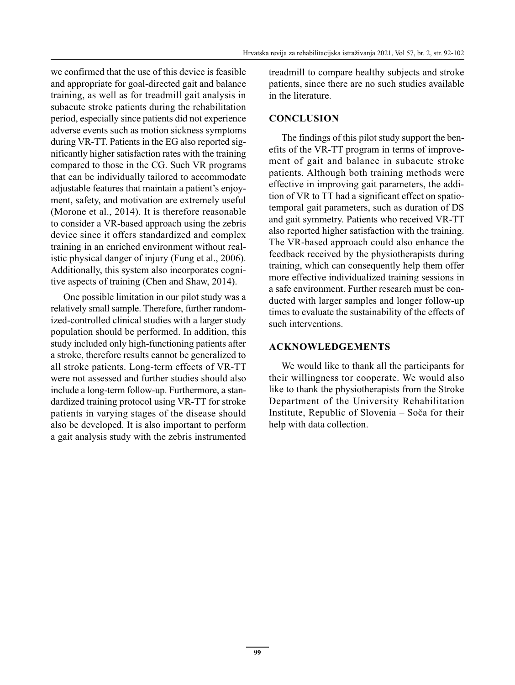we confirmed that the use of this device is feasible and appropriate for goal-directed gait and balance training, as well as for treadmill gait analysis in subacute stroke patients during the rehabilitation period, especially since patients did not experience adverse events such as motion sickness symptoms during VR-TT. Patients in the EG also reported significantly higher satisfaction rates with the training compared to those in the CG. Such VR programs that can be individually tailored to accommodate adjustable features that maintain a patient's enjoyment, safety, and motivation are extremely useful (Morone et al., 2014). It is therefore reasonable to consider a VR-based approach using the zebris device since it offers standardized and complex training in an enriched environment without realistic physical danger of injury (Fung et al., 2006). Additionally, this system also incorporates cognitive aspects of training (Chen and Shaw, 2014).

One possible limitation in our pilot study was a relatively small sample. Therefore, further randomized-controlled clinical studies with a larger study population should be performed. In addition, this study included only high-functioning patients after a stroke, therefore results cannot be generalized to all stroke patients. Long-term effects of VR-TT were not assessed and further studies should also include a long-term follow-up. Furthermore, a standardized training protocol using VR-TT for stroke patients in varying stages of the disease should also be developed. It is also important to perform a gait analysis study with the zebris instrumented treadmill to compare healthy subjects and stroke patients, since there are no such studies available in the literature.

#### **CONCLUSION**

The findings of this pilot study support the benefits of the VR-TT program in terms of improvement of gait and balance in subacute stroke patients. Although both training methods were effective in improving gait parameters, the addition of VR to TT had a significant effect on spatiotemporal gait parameters, such as duration of DS and gait symmetry. Patients who received VR-TT also reported higher satisfaction with the training. The VR-based approach could also enhance the feedback received by the physiotherapists during training, which can consequently help them offer more effective individualized training sessions in a safe environment. Further research must be conducted with larger samples and longer follow-up times to evaluate the sustainability of the effects of such interventions.

#### **ACKNOWLEDGEMENTS**

We would like to thank all the participants for their willingness tor cooperate. We would also like to thank the physiotherapists from the Stroke Department of the University Rehabilitation Institute, Republic of Slovenia – Soča for their help with data collection.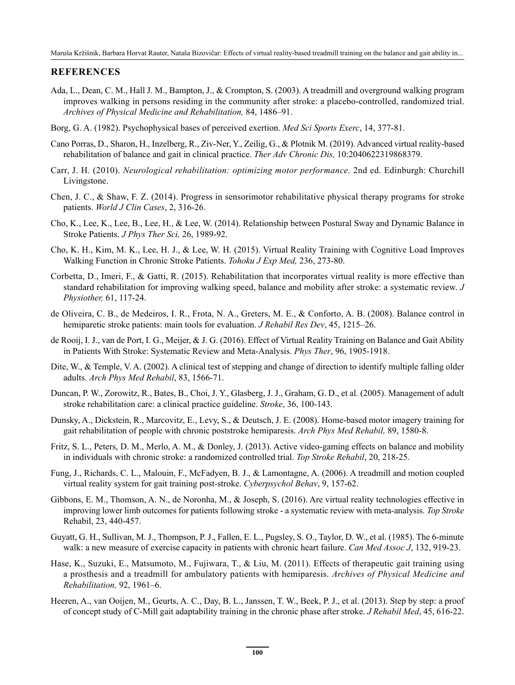#### **REFERENCES**

- Ada, L., Dean, C. M., Hall J. M., Bampton, J., & Crompton, S. (2003). A treadmill and overground walking program improves walking in persons residing in the community after stroke: a placebo-controlled, randomized trial. *Archives of Physical Medicine and Rehabilitation,* 84, 1486–91.
- Borg, G. A. (1982). Psychophysical bases of perceived exertion. *Med Sci Sports Exerc*, 14, 377-81.
- Cano Porras, D., Sharon, H., Inzelberg, R., Ziv-Ner, Y., Zeilig, G., & Plotnik M. (2019). Advanced virtual reality-based rehabilitation of balance and gait in clinical practice. *Ther Adv Chronic Dis,* 10:2040622319868379.
- Carr, J. H. (2010). *Neurological rehabilitation: optimizing motor performance.* 2nd ed. Edinburgh: Churchill Livingstone.
- Chen, J. C., & Shaw, F. Z. (2014). Progress in sensorimotor rehabilitative physical therapy programs for stroke patients. *World J Clin Cases*, 2, 316-26.
- Cho, K., Lee, K., Lee, B., Lee, H., & Lee, W. (2014). Relationship between Postural Sway and Dynamic Balance in Stroke Patients. *J Phys Ther Sci,* 26, 1989-92.
- Cho, K. H., Kim, M. K., Lee, H. J., & Lee, W. H. (2015). Virtual Reality Training with Cognitive Load Improves Walking Function in Chronic Stroke Patients. *Tohoku J Exp Med,* 236, 273-80.
- Corbetta, D., Imeri, F., & Gatti, R. (2015). Rehabilitation that incorporates virtual reality is more effective than standard rehabilitation for improving walking speed, balance and mobility after stroke: a systematic review. *J Physiother,* 61, 117-24.
- de Oliveira, C. B., de Medeiros, I. R., Frota, N. A., Greters, M. E., & Conforto, A. B. (2008). Balance control in hemiparetic stroke patients: main tools for evaluation. *J Rehabil Res Dev*, 45, 1215–26.
- de Rooij, I. J., van de Port, I. G., Meijer, & J. G. (2016). Effect of Virtual Reality Training on Balance and Gait Ability in Patients With Stroke: Systematic Review and Meta-Analysis. *Phys Ther*, 96, 1905-1918.
- Dite, W., & Temple, V. A. (2002). A clinical test of stepping and change of direction to identify multiple falling older adults. *Arch Phys Med Rehabil*, 83, 1566-71.
- Duncan, P. W., Zorowitz, R., Bates, B., Choi, J. Y., Glasberg, J. J., Graham, G. D., et al. (2005). Management of adult stroke rehabilitation care: a clinical practice guideline. *Stroke*, 36, 100-143.
- Dunsky, A., Dickstein, R., Marcovitz, E., Levy, S., & Deutsch, J. E. (2008). Home-based motor imagery training for gait rehabilitation of people with chronic poststroke hemiparesis. *Arch Phys Med Rehabil,* 89, 1580-8.
- Fritz, S. L., Peters, D. M., Merlo, A. M., & Donley, J. (2013). Active video-gaming effects on balance and mobility in individuals with chronic stroke: a randomized controlled trial. *Top Stroke Rehabil*, 20, 218-25.
- Fung, J., Richards, C. L., Malouin, F., McFadyen, B. J., & Lamontagne, A. (2006). A treadmill and motion coupled virtual reality system for gait training post-stroke. *Cyberpsychol Behav*, 9, 157-62.
- Gibbons, E. M., Thomson, A. N., de Noronha, M., & Joseph, S. (2016). Are virtual reality technologies effective in improving lower limb outcomes for patients following stroke - a systematic review with meta-analysis. *Top Stroke*  Rehabil, 23, 440-457.
- Guyatt, G. H., Sullivan, M. J., Thompson, P. J., Fallen, E. L., Pugsley, S. O., Taylor, D. W., et al. (1985). The 6-minute walk: a new measure of exercise capacity in patients with chronic heart failure. *Can Med Assoc J*, 132, 919-23.
- Hase, K., Suzuki, E., Matsumoto, M., Fujiwara, T., & Liu, M. (2011). Effects of therapeutic gait training using a prosthesis and a treadmill for ambulatory patients with hemiparesis. *Archives of Physical Medicine and Rehabilitation,* 92, 1961–6.
- Heeren, A., van Ooijen, M., Geurts, A. C., Day, B. L., Janssen, T. W., Beek, P. J., et al. (2013). Step by step: a proof of concept study of C-Mill gait adaptability training in the chronic phase after stroke. *J Rehabil Med*, 45, 616-22.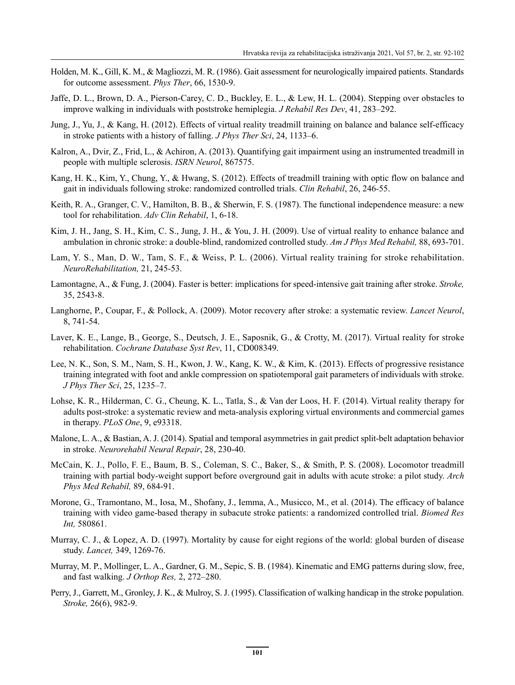- Holden, M. K., Gill, K. M., & Magliozzi, M. R. (1986). Gait assessment for neurologically impaired patients. Standards for outcome assessment. *Phys Ther*, 66, 1530-9.
- Jaffe, D. L., Brown, D. A., Pierson-Carey, C. D., Buckley, E. L., & Lew, H. L. (2004). Stepping over obstacles to improve walking in individuals with poststroke hemiplegia. *J Rehabil Res Dev*, 41, 283–292.
- Jung, J., Yu, J., & Kang, H. (2012). Effects of virtual reality treadmill training on balance and balance self-efficacy in stroke patients with a history of falling. *J Phys Ther Sci*, 24, 1133–6.
- Kalron, A., Dvir, Z., Frid, L., & Achiron, A. (2013). Quantifying gait impairment using an instrumented treadmill in people with multiple sclerosis. *ISRN Neurol*, 867575.
- Kang, H. K., Kim, Y., Chung, Y., & Hwang, S. (2012). Effects of treadmill training with optic flow on balance and gait in individuals following stroke: randomized controlled trials. *Clin Rehabil*, 26, 246-55.
- Keith, R. A., Granger, C. V., Hamilton, B. B., & Sherwin, F. S. (1987). The functional independence measure: a new tool for rehabilitation. *Adv Clin Rehabil*, 1, 6-18.
- Kim, J. H., Jang, S. H., Kim, C. S., Jung, J. H., & You, J. H. (2009). Use of virtual reality to enhance balance and ambulation in chronic stroke: a double-blind, randomized controlled study. *Am J Phys Med Rehabil,* 88, 693-701.
- Lam, Y. S., Man, D. W., Tam, S. F., & Weiss, P. L. (2006). Virtual reality training for stroke rehabilitation. *NeuroRehabilitation,* 21, 245-53.
- Lamontagne, A., & Fung, J. (2004). Faster is better: implications for speed-intensive gait training after stroke. *Stroke,*  35, 2543-8.
- Langhorne, P., Coupar, F., & Pollock, A. (2009). Motor recovery after stroke: a systematic review. *Lancet Neurol*, 8, 741-54.
- Laver, K. E., Lange, B., George, S., Deutsch, J. E., Saposnik, G., & Crotty, M. (2017). Virtual reality for stroke rehabilitation. *Cochrane Database Syst Rev*, 11, CD008349.
- Lee, N. K., Son, S. M., Nam, S. H., Kwon, J. W., Kang, K. W., & Kim, K. (2013). Effects of progressive resistance training integrated with foot and ankle compression on spatiotemporal gait parameters of individuals with stroke. *J Phys Ther Sci*, 25, 1235–7.
- Lohse, K. R., Hilderman, C. G., Cheung, K. L., Tatla, S., & Van der Loos, H. F. (2014). Virtual reality therapy for adults post-stroke: a systematic review and meta-analysis exploring virtual environments and commercial games in therapy. *PLoS One*, 9, e93318.
- Malone, L. A., & Bastian, A. J. (2014). Spatial and temporal asymmetries in gait predict split-belt adaptation behavior in stroke. *Neurorehabil Neural Repair*, 28, 230-40.
- McCain, K. J., Pollo, F. E., Baum, B. S., Coleman, S. C., Baker, S., & Smith, P. S. (2008). Locomotor treadmill training with partial body-weight support before overground gait in adults with acute stroke: a pilot study. *Arch Phys Med Rehabil,* 89, 684-91.
- Morone, G., Tramontano, M., Iosa, M., Shofany, J., Iemma, A., Musicco, M., et al. (2014). The efficacy of balance training with video game-based therapy in subacute stroke patients: a randomized controlled trial. *Biomed Res Int,* 580861.
- Murray, C. J., & Lopez, A. D. (1997). Mortality by cause for eight regions of the world: global burden of disease study. *Lancet,* 349, 1269-76.
- Murray, M. P., Mollinger, L. A., Gardner, G. M., Sepic, S. B. (1984). Kinematic and EMG patterns during slow, free, and fast walking. *J Orthop Res,* 2, 272–280.
- Perry, J., Garrett, M., Gronley, J. K., & Mulroy, S. J. (1995). Classification of walking handicap in the stroke population. *Stroke,* 26(6), 982-9.